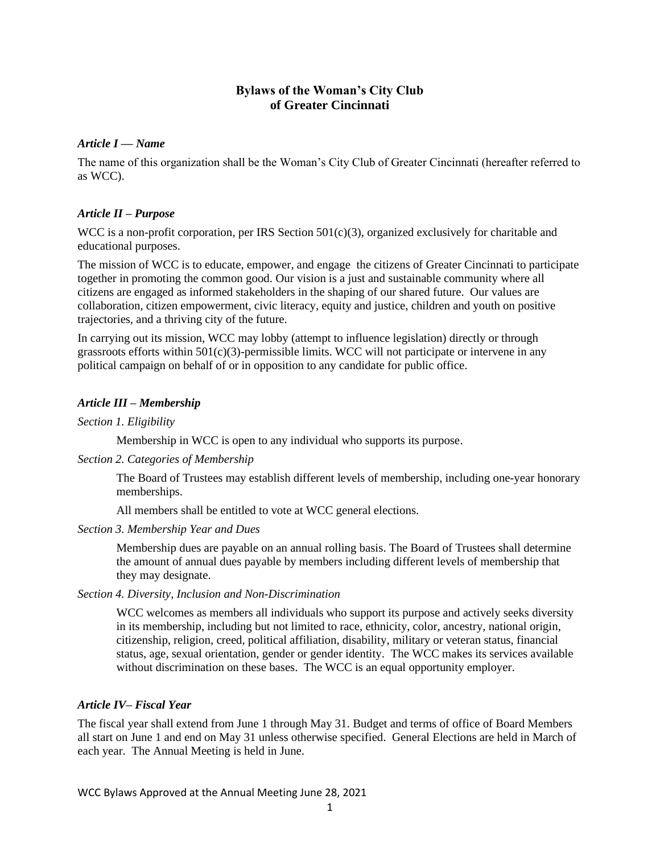# **Bylaws of the Woman's City Club of Greater Cincinnati**

## *Article I — Name*

The name of this organization shall be the Woman's City Club of Greater Cincinnati (hereafter referred to as WCC).

# *Article II – Purpose*

WCC is a non-profit corporation, per IRS Section  $501(c)(3)$ , organized exclusively for charitable and educational purposes.

The mission of WCC is to educate, empower, and engage the citizens of Greater Cincinnati to participate together in promoting the common good. Our vision is a just and sustainable community where all citizens are engaged as informed stakeholders in the shaping of our shared future. Our values are collaboration, citizen empowerment, civic literacy, equity and justice, children and youth on positive trajectories, and a thriving city of the future.

In carrying out its mission, WCC may lobby (attempt to influence legislation) directly or through grassroots efforts within  $501(c)(3)$ -permissible limits. WCC will not participate or intervene in any political campaign on behalf of or in opposition to any candidate for public office.

## *Article III – Membership*

## *Section 1. Eligibility*

Membership in WCC is open to any individual who supports its purpose.

## *Section 2. Categories of Membership*

The Board of Trustees may establish different levels of membership, including one-year honorary memberships.

All members shall be entitled to vote at WCC general elections.

## *Section 3. Membership Year and Dues*

Membership dues are payable on an annual rolling basis. The Board of Trustees shall determine the amount of annual dues payable by members including different levels of membership that they may designate.

## *Section 4. Diversity, Inclusion and Non-Discrimination*

WCC welcomes as members all individuals who support its purpose and actively seeks diversity in its membership, including but not limited to race, ethnicity, color, ancestry, national origin, citizenship, religion, creed, political affiliation, disability, military or veteran status, financial status, age, sexual orientation, gender or gender identity. The WCC makes its services available without discrimination on these bases. The WCC is an equal opportunity employer.

## *Article IV– Fiscal Year*

The fiscal year shall extend from June 1 through May 31. Budget and terms of office of Board Members all start on June 1 and end on May 31 unless otherwise specified. General Elections are held in March of each year. The Annual Meeting is held in June.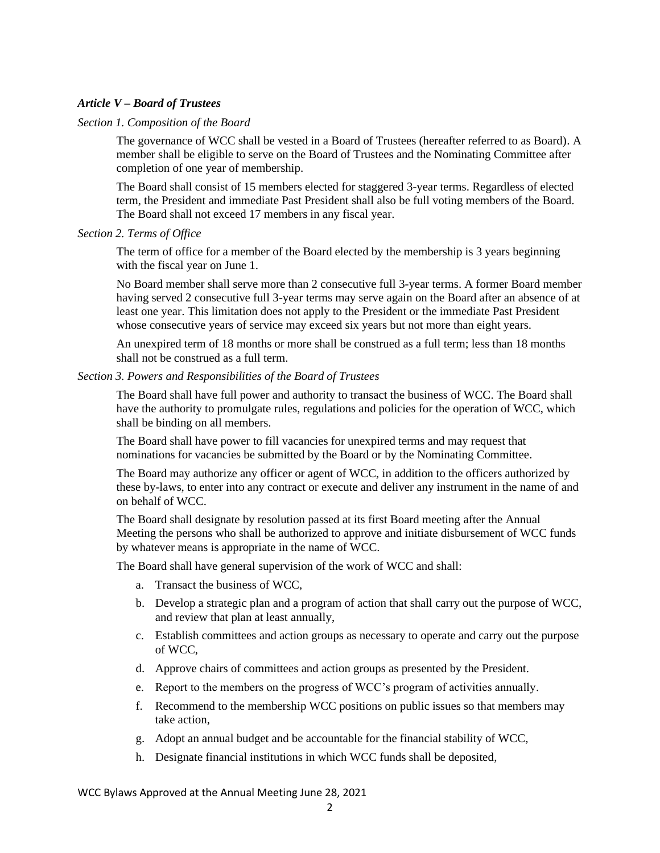## *Article V – Board of Trustees*

### *Section 1. Composition of the Board*

The governance of WCC shall be vested in a Board of Trustees (hereafter referred to as Board). A member shall be eligible to serve on the Board of Trustees and the Nominating Committee after completion of one year of membership.

The Board shall consist of 15 members elected for staggered 3-year terms. Regardless of elected term, the President and immediate Past President shall also be full voting members of the Board. The Board shall not exceed 17 members in any fiscal year.

### *Section 2. Terms of Office*

The term of office for a member of the Board elected by the membership is 3 years beginning with the fiscal year on June 1.

No Board member shall serve more than 2 consecutive full 3-year terms. A former Board member having served 2 consecutive full 3-year terms may serve again on the Board after an absence of at least one year. This limitation does not apply to the President or the immediate Past President whose consecutive years of service may exceed six years but not more than eight years.

An unexpired term of 18 months or more shall be construed as a full term; less than 18 months shall not be construed as a full term.

### *Section 3. Powers and Responsibilities of the Board of Trustees*

The Board shall have full power and authority to transact the business of WCC. The Board shall have the authority to promulgate rules, regulations and policies for the operation of WCC, which shall be binding on all members.

The Board shall have power to fill vacancies for unexpired terms and may request that nominations for vacancies be submitted by the Board or by the Nominating Committee.

The Board may authorize any officer or agent of WCC, in addition to the officers authorized by these by-laws, to enter into any contract or execute and deliver any instrument in the name of and on behalf of WCC.

The Board shall designate by resolution passed at its first Board meeting after the Annual Meeting the persons who shall be authorized to approve and initiate disbursement of WCC funds by whatever means is appropriate in the name of WCC.

The Board shall have general supervision of the work of WCC and shall:

- a. Transact the business of WCC,
- b. Develop a strategic plan and a program of action that shall carry out the purpose of WCC, and review that plan at least annually,
- c. Establish committees and action groups as necessary to operate and carry out the purpose of WCC,
- d. Approve chairs of committees and action groups as presented by the President.
- e. Report to the members on the progress of WCC's program of activities annually.
- f. Recommend to the membership WCC positions on public issues so that members may take action,
- g. Adopt an annual budget and be accountable for the financial stability of WCC,
- h. Designate financial institutions in which WCC funds shall be deposited,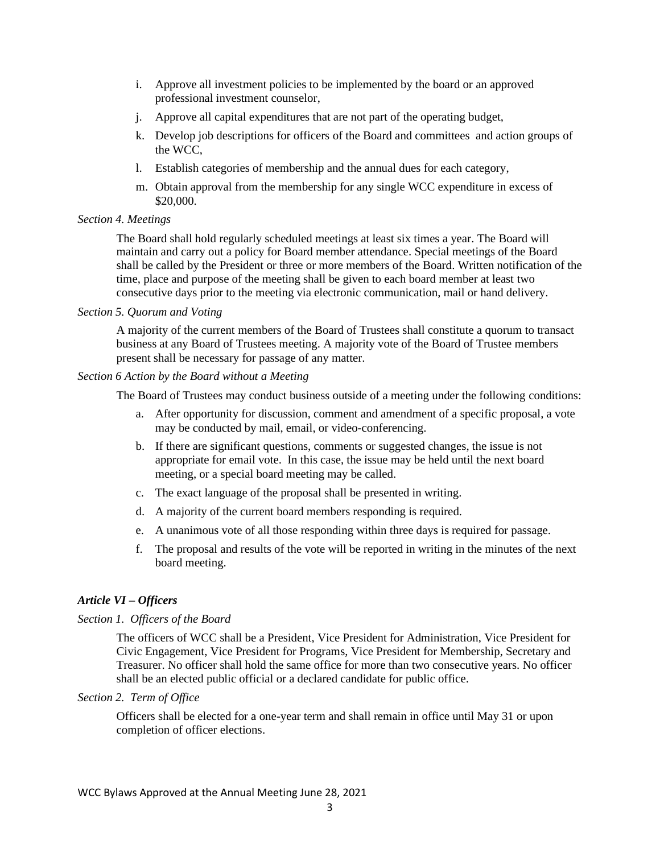- i. Approve all investment policies to be implemented by the board or an approved professional investment counselor,
- j. Approve all capital expenditures that are not part of the operating budget,
- k. Develop job descriptions for officers of the Board and committees and action groups of the WCC,
- l. Establish categories of membership and the annual dues for each category,
- m. Obtain approval from the membership for any single WCC expenditure in excess of \$20,000.

## *Section 4. Meetings*

The Board shall hold regularly scheduled meetings at least six times a year. The Board will maintain and carry out a policy for Board member attendance. Special meetings of the Board shall be called by the President or three or more members of the Board. Written notification of the time, place and purpose of the meeting shall be given to each board member at least two consecutive days prior to the meeting via electronic communication, mail or hand delivery.

### *Section 5. Quorum and Voting*

A majority of the current members of the Board of Trustees shall constitute a quorum to transact business at any Board of Trustees meeting. A majority vote of the Board of Trustee members present shall be necessary for passage of any matter.

### *Section 6 Action by the Board without a Meeting*

The Board of Trustees may conduct business outside of a meeting under the following conditions:

- a. After opportunity for discussion, comment and amendment of a specific proposal, a vote may be conducted by mail, email, or video-conferencing.
- b. If there are significant questions, comments or suggested changes, the issue is not appropriate for email vote. In this case, the issue may be held until the next board meeting, or a special board meeting may be called.
- c. The exact language of the proposal shall be presented in writing.
- d. A majority of the current board members responding is required.
- e. A unanimous vote of all those responding within three days is required for passage.
- f. The proposal and results of the vote will be reported in writing in the minutes of the next board meeting.

## *Article VI – Officers*

## *Section 1. Officers of the Board*

The officers of WCC shall be a President, Vice President for Administration, Vice President for Civic Engagement, Vice President for Programs, Vice President for Membership, Secretary and Treasurer. No officer shall hold the same office for more than two consecutive years. No officer shall be an elected public official or a declared candidate for public office.

#### *Section 2. Term of Office*

Officers shall be elected for a one-year term and shall remain in office until May 31 or upon completion of officer elections.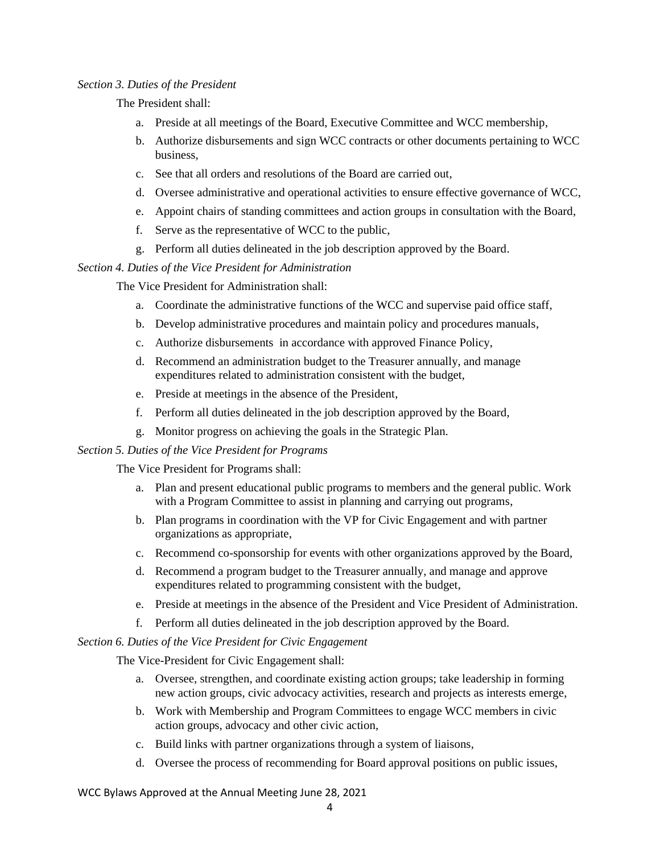## *Section 3. Duties of the President*

The President shall:

- a. Preside at all meetings of the Board, Executive Committee and WCC membership,
- b. Authorize disbursements and sign WCC contracts or other documents pertaining to WCC business,
- c. See that all orders and resolutions of the Board are carried out,
- d. Oversee administrative and operational activities to ensure effective governance of WCC,
- e. Appoint chairs of standing committees and action groups in consultation with the Board,
- f. Serve as the representative of WCC to the public,
- g. Perform all duties delineated in the job description approved by the Board.

*Section 4. Duties of the Vice President for Administration*

The Vice President for Administration shall:

- a. Coordinate the administrative functions of the WCC and supervise paid office staff,
- b. Develop administrative procedures and maintain policy and procedures manuals,
- c. Authorize disbursements in accordance with approved Finance Policy,
- d. Recommend an administration budget to the Treasurer annually, and manage expenditures related to administration consistent with the budget,
- e. Preside at meetings in the absence of the President,
- f. Perform all duties delineated in the job description approved by the Board,
- g. Monitor progress on achieving the goals in the Strategic Plan.

## *Section 5. Duties of the Vice President for Programs*

The Vice President for Programs shall:

- a. Plan and present educational public programs to members and the general public. Work with a Program Committee to assist in planning and carrying out programs,
- b. Plan programs in coordination with the VP for Civic Engagement and with partner organizations as appropriate,
- c. Recommend co-sponsorship for events with other organizations approved by the Board,
- d. Recommend a program budget to the Treasurer annually, and manage and approve expenditures related to programming consistent with the budget,
- e. Preside at meetings in the absence of the President and Vice President of Administration.
- f. Perform all duties delineated in the job description approved by the Board.

### *Section 6. Duties of the Vice President for Civic Engagement*

The Vice-President for Civic Engagement shall:

- a. Oversee, strengthen, and coordinate existing action groups; take leadership in forming new action groups, civic advocacy activities, research and projects as interests emerge,
- b. Work with Membership and Program Committees to engage WCC members in civic action groups, advocacy and other civic action,
- c. Build links with partner organizations through a system of liaisons,
- d. Oversee the process of recommending for Board approval positions on public issues,

WCC Bylaws Approved at the Annual Meeting June 28, 2021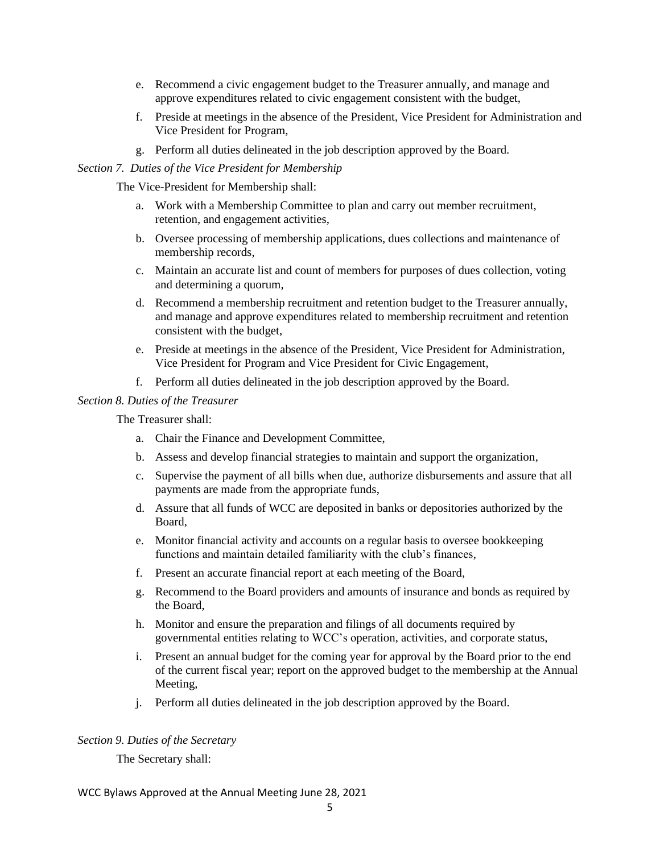- e. Recommend a civic engagement budget to the Treasurer annually, and manage and approve expenditures related to civic engagement consistent with the budget,
- f. Preside at meetings in the absence of the President, Vice President for Administration and Vice President for Program,
- g. Perform all duties delineated in the job description approved by the Board.

## *Section 7. Duties of the Vice President for Membership*

The Vice-President for Membership shall:

- a. Work with a Membership Committee to plan and carry out member recruitment, retention, and engagement activities,
- b. Oversee processing of membership applications, dues collections and maintenance of membership records,
- c. Maintain an accurate list and count of members for purposes of dues collection, voting and determining a quorum,
- d. Recommend a membership recruitment and retention budget to the Treasurer annually, and manage and approve expenditures related to membership recruitment and retention consistent with the budget,
- e. Preside at meetings in the absence of the President, Vice President for Administration, Vice President for Program and Vice President for Civic Engagement,
- f. Perform all duties delineated in the job description approved by the Board.

### *Section 8. Duties of the Treasurer*

The Treasurer shall:

- a. Chair the Finance and Development Committee,
- b. Assess and develop financial strategies to maintain and support the organization,
- c. Supervise the payment of all bills when due, authorize disbursements and assure that all payments are made from the appropriate funds,
- d. Assure that all funds of WCC are deposited in banks or depositories authorized by the Board,
- e. Monitor financial activity and accounts on a regular basis to oversee bookkeeping functions and maintain detailed familiarity with the club's finances,
- f. Present an accurate financial report at each meeting of the Board,
- g. Recommend to the Board providers and amounts of insurance and bonds as required by the Board,
- h. Monitor and ensure the preparation and filings of all documents required by governmental entities relating to WCC's operation, activities, and corporate status,
- i. Present an annual budget for the coming year for approval by the Board prior to the end of the current fiscal year; report on the approved budget to the membership at the Annual Meeting,
- j. Perform all duties delineated in the job description approved by the Board.

## *Section 9. Duties of the Secretary*

The Secretary shall:

#### WCC Bylaws Approved at the Annual Meeting June 28, 2021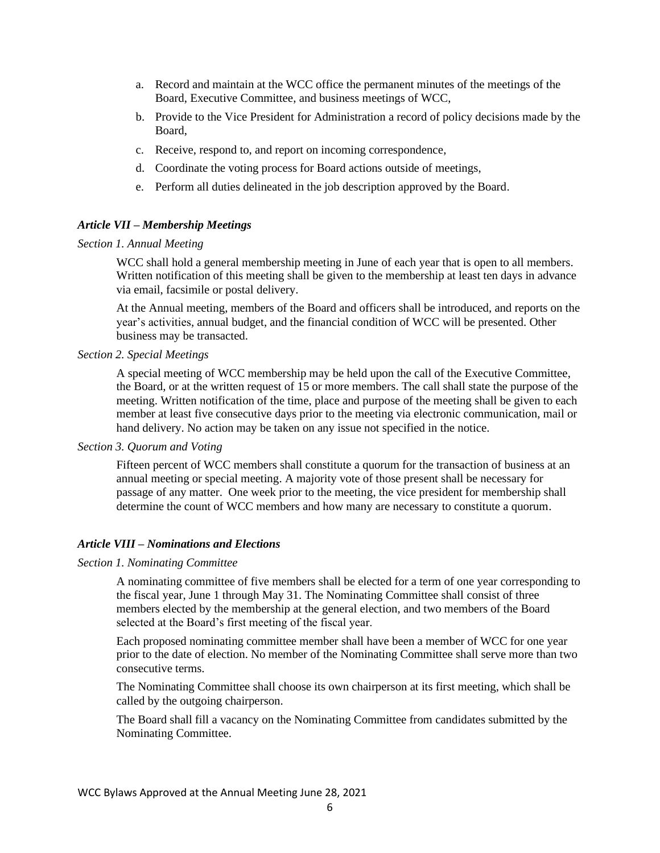- a. Record and maintain at the WCC office the permanent minutes of the meetings of the Board, Executive Committee, and business meetings of WCC,
- b. Provide to the Vice President for Administration a record of policy decisions made by the Board,
- c. Receive, respond to, and report on incoming correspondence,
- d. Coordinate the voting process for Board actions outside of meetings,
- e. Perform all duties delineated in the job description approved by the Board.

#### *Article VII – Membership Meetings*

#### *Section 1. Annual Meeting*

WCC shall hold a general membership meeting in June of each year that is open to all members. Written notification of this meeting shall be given to the membership at least ten days in advance via email, facsimile or postal delivery.

At the Annual meeting, members of the Board and officers shall be introduced, and reports on the year's activities, annual budget, and the financial condition of WCC will be presented. Other business may be transacted.

## *Section 2. Special Meetings*

A special meeting of WCC membership may be held upon the call of the Executive Committee, the Board, or at the written request of 15 or more members. The call shall state the purpose of the meeting. Written notification of the time, place and purpose of the meeting shall be given to each member at least five consecutive days prior to the meeting via electronic communication, mail or hand delivery. No action may be taken on any issue not specified in the notice.

#### *Section 3. Quorum and Voting*

Fifteen percent of WCC members shall constitute a quorum for the transaction of business at an annual meeting or special meeting. A majority vote of those present shall be necessary for passage of any matter. One week prior to the meeting, the vice president for membership shall determine the count of WCC members and how many are necessary to constitute a quorum.

#### *Article VIII – Nominations and Elections*

#### *Section 1. Nominating Committee*

A nominating committee of five members shall be elected for a term of one year corresponding to the fiscal year, June 1 through May 31. The Nominating Committee shall consist of three members elected by the membership at the general election, and two members of the Board selected at the Board's first meeting of the fiscal year.

Each proposed nominating committee member shall have been a member of WCC for one year prior to the date of election. No member of the Nominating Committee shall serve more than two consecutive terms.

The Nominating Committee shall choose its own chairperson at its first meeting, which shall be called by the outgoing chairperson.

The Board shall fill a vacancy on the Nominating Committee from candidates submitted by the Nominating Committee.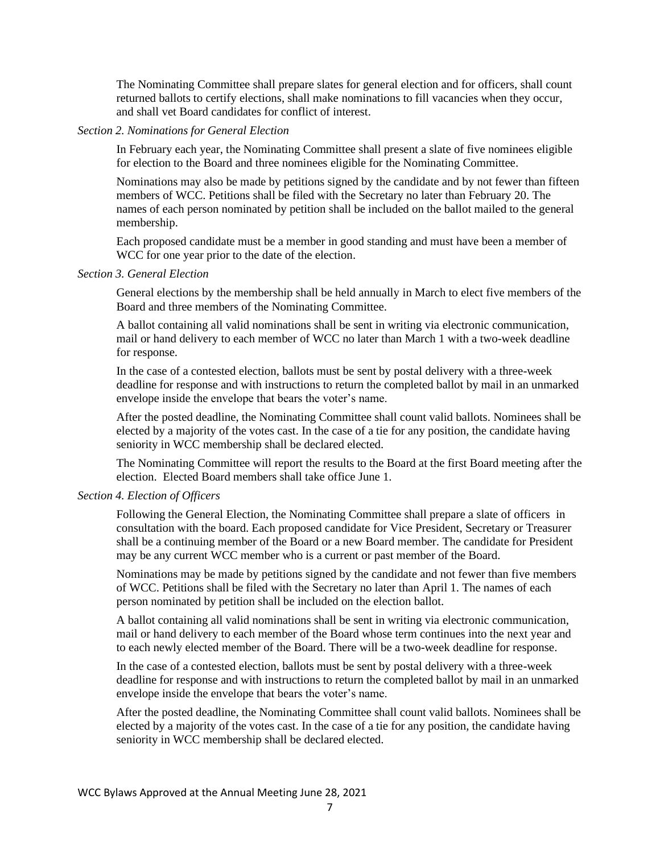The Nominating Committee shall prepare slates for general election and for officers, shall count returned ballots to certify elections, shall make nominations to fill vacancies when they occur, and shall vet Board candidates for conflict of interest.

## *Section 2. Nominations for General Election*

In February each year, the Nominating Committee shall present a slate of five nominees eligible for election to the Board and three nominees eligible for the Nominating Committee.

Nominations may also be made by petitions signed by the candidate and by not fewer than fifteen members of WCC. Petitions shall be filed with the Secretary no later than February 20. The names of each person nominated by petition shall be included on the ballot mailed to the general membership.

Each proposed candidate must be a member in good standing and must have been a member of WCC for one year prior to the date of the election.

### *Section 3. General Election*

General elections by the membership shall be held annually in March to elect five members of the Board and three members of the Nominating Committee.

A ballot containing all valid nominations shall be sent in writing via electronic communication, mail or hand delivery to each member of WCC no later than March 1 with a two-week deadline for response.

In the case of a contested election, ballots must be sent by postal delivery with a three-week deadline for response and with instructions to return the completed ballot by mail in an unmarked envelope inside the envelope that bears the voter's name.

After the posted deadline, the Nominating Committee shall count valid ballots. Nominees shall be elected by a majority of the votes cast. In the case of a tie for any position, the candidate having seniority in WCC membership shall be declared elected.

The Nominating Committee will report the results to the Board at the first Board meeting after the election. Elected Board members shall take office June 1.

#### *Section 4. Election of Officers*

Following the General Election, the Nominating Committee shall prepare a slate of officers in consultation with the board. Each proposed candidate for Vice President, Secretary or Treasurer shall be a continuing member of the Board or a new Board member. The candidate for President may be any current WCC member who is a current or past member of the Board.

Nominations may be made by petitions signed by the candidate and not fewer than five members of WCC. Petitions shall be filed with the Secretary no later than April 1. The names of each person nominated by petition shall be included on the election ballot.

A ballot containing all valid nominations shall be sent in writing via electronic communication, mail or hand delivery to each member of the Board whose term continues into the next year and to each newly elected member of the Board. There will be a two-week deadline for response.

In the case of a contested election, ballots must be sent by postal delivery with a three-week deadline for response and with instructions to return the completed ballot by mail in an unmarked envelope inside the envelope that bears the voter's name.

After the posted deadline, the Nominating Committee shall count valid ballots. Nominees shall be elected by a majority of the votes cast. In the case of a tie for any position, the candidate having seniority in WCC membership shall be declared elected.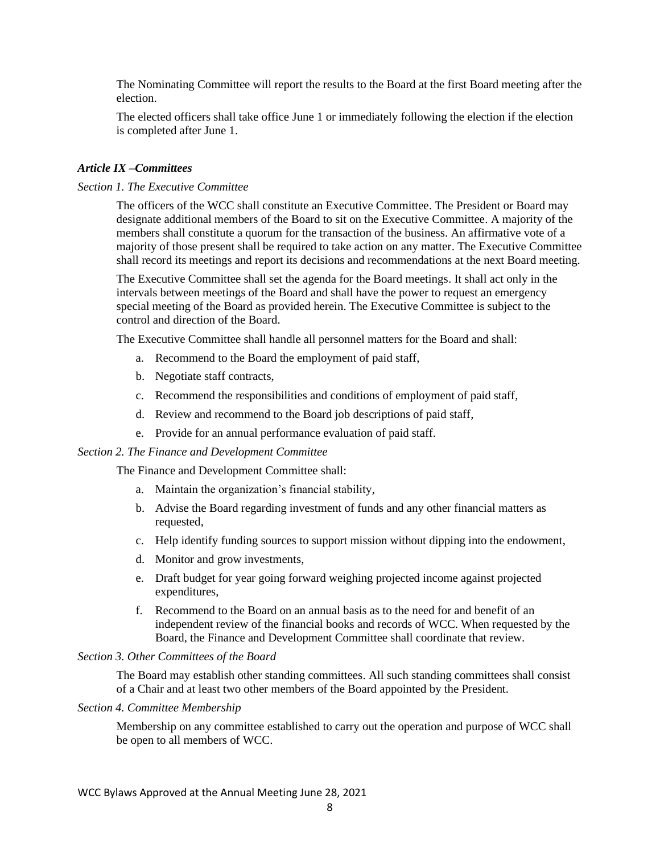The Nominating Committee will report the results to the Board at the first Board meeting after the election.

The elected officers shall take office June 1 or immediately following the election if the election is completed after June 1.

#### *Article IX –Committees*

#### *Section 1. The Executive Committee*

The officers of the WCC shall constitute an Executive Committee. The President or Board may designate additional members of the Board to sit on the Executive Committee. A majority of the members shall constitute a quorum for the transaction of the business. An affirmative vote of a majority of those present shall be required to take action on any matter. The Executive Committee shall record its meetings and report its decisions and recommendations at the next Board meeting.

The Executive Committee shall set the agenda for the Board meetings. It shall act only in the intervals between meetings of the Board and shall have the power to request an emergency special meeting of the Board as provided herein. The Executive Committee is subject to the control and direction of the Board.

The Executive Committee shall handle all personnel matters for the Board and shall:

- a. Recommend to the Board the employment of paid staff,
- b. Negotiate staff contracts,
- c. Recommend the responsibilities and conditions of employment of paid staff,
- d. Review and recommend to the Board job descriptions of paid staff,
- e. Provide for an annual performance evaluation of paid staff.

#### *Section 2. The Finance and Development Committee*

The Finance and Development Committee shall:

- a. Maintain the organization's financial stability,
- b. Advise the Board regarding investment of funds and any other financial matters as requested,
- c. Help identify funding sources to support mission without dipping into the endowment,
- d. Monitor and grow investments,
- e. Draft budget for year going forward weighing projected income against projected expenditures,
- f. Recommend to the Board on an annual basis as to the need for and benefit of an independent review of the financial books and records of WCC. When requested by the Board, the Finance and Development Committee shall coordinate that review.

#### *Section 3. Other Committees of the Board*

The Board may establish other standing committees. All such standing committees shall consist of a Chair and at least two other members of the Board appointed by the President.

#### *Section 4. Committee Membership*

Membership on any committee established to carry out the operation and purpose of WCC shall be open to all members of WCC.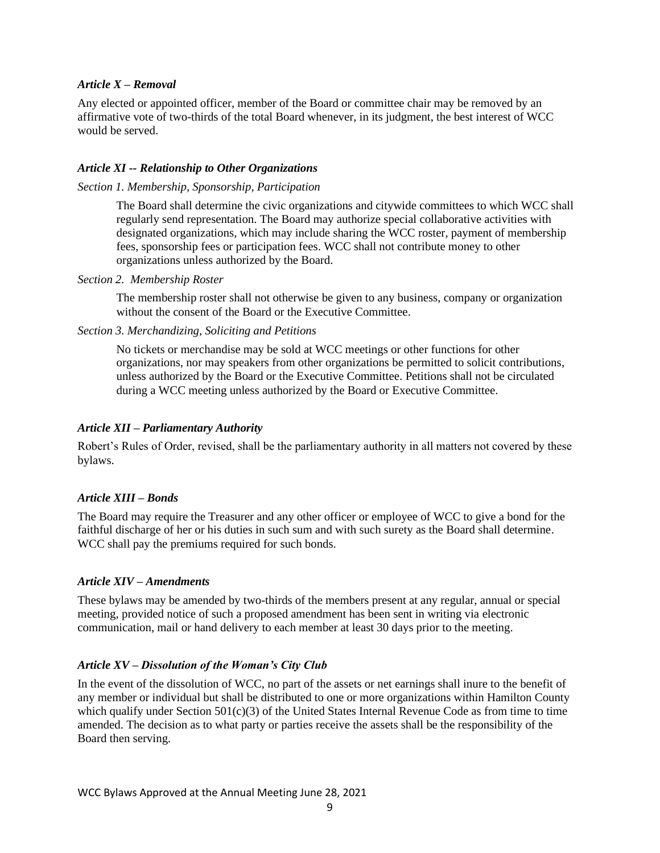## *Article X – Removal*

Any elected or appointed officer, member of the Board or committee chair may be removed by an affirmative vote of two-thirds of the total Board whenever, in its judgment, the best interest of WCC would be served.

## *Article XI -- Relationship to Other Organizations*

## *Section 1. Membership, Sponsorship, Participation*

The Board shall determine the civic organizations and citywide committees to which WCC shall regularly send representation. The Board may authorize special collaborative activities with designated organizations, which may include sharing the WCC roster, payment of membership fees, sponsorship fees or participation fees. WCC shall not contribute money to other organizations unless authorized by the Board.

*Section 2. Membership Roster*

The membership roster shall not otherwise be given to any business, company or organization without the consent of the Board or the Executive Committee.

## *Section 3. Merchandizing, Soliciting and Petitions*

No tickets or merchandise may be sold at WCC meetings or other functions for other organizations, nor may speakers from other organizations be permitted to solicit contributions, unless authorized by the Board or the Executive Committee. Petitions shall not be circulated during a WCC meeting unless authorized by the Board or Executive Committee.

## *Article XII – Parliamentary Authority*

Robert's Rules of Order, revised, shall be the parliamentary authority in all matters not covered by these bylaws.

# *Article XIII – Bonds*

The Board may require the Treasurer and any other officer or employee of WCC to give a bond for the faithful discharge of her or his duties in such sum and with such surety as the Board shall determine. WCC shall pay the premiums required for such bonds.

## *Article XIV – Amendments*

These bylaws may be amended by two-thirds of the members present at any regular, annual or special meeting, provided notice of such a proposed amendment has been sent in writing via electronic communication, mail or hand delivery to each member at least 30 days prior to the meeting.

# *Article XV – Dissolution of the Woman's City Club*

In the event of the dissolution of WCC, no part of the assets or net earnings shall inure to the benefit of any member or individual but shall be distributed to one or more organizations within Hamilton County which qualify under Section 501(c)(3) of the United States Internal Revenue Code as from time to time amended. The decision as to what party or parties receive the assets shall be the responsibility of the Board then serving.